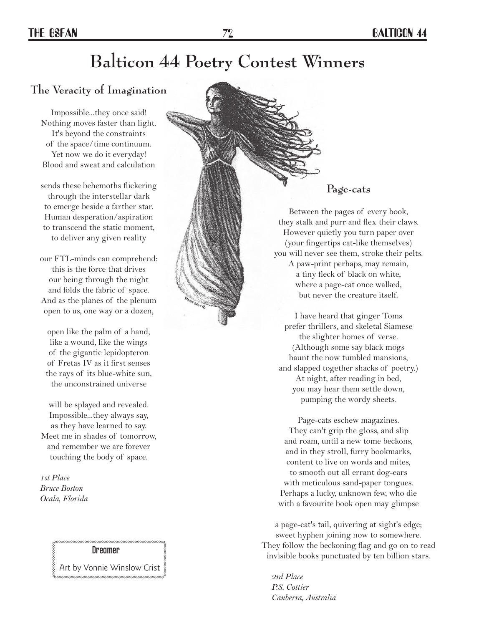# **Balticon 44 Poetry Contest Winners**

### **The Veracity of Imagination**

Impossible...they once said! Nothing moves faster than light. It's beyond the constraints of the space/time continuum. Yet now we do it everyday! Blood and sweat and calculation

sends these behemoths flickering through the interstellar dark to emerge beside a farther star. Human desperation/aspiration to transcend the static moment, to deliver any given reality

our FTL-minds can comprehend: this is the force that drives our being through the night and folds the fabric of space. And as the planes of the plenum open to us, one way or a dozen,

open like the palm of a hand, like a wound, like the wings of the gigantic lepidopteron of Fretas IV as it first senses the rays of its blue-white sun, the unconstrained universe

will be splayed and revealed. Impossible...they always say, as they have learned to say. Meet me in shades of tomorrow, and remember we are forever touching the body of space.

 *1st Place Bruce Boston Ocala, Florida*

#### Dreamer

Art by Vonnie Winslow Crist \*\*\*\*\*\*\*\*\*\*\*\*\*\*\*\*\*\*\*\*



#### **Page-cats**

Between the pages of every book, they stalk and purr and flex their claws. However quietly you turn paper over (your fingertips cat-like themselves) you will never see them, stroke their pelts. A paw-print perhaps, may remain, a tiny fleck of black on white,

where a page-cat once walked, but never the creature itself.

I have heard that ginger Toms prefer thrillers, and skeletal Siamese the slighter homes of verse. (Although some say black mogs haunt the now tumbled mansions, and slapped together shacks of poetry.) At night, after reading in bed, you may hear them settle down, pumping the wordy sheets.

Page-cats eschew magazines. They can't grip the gloss, and slip and roam, until a new tome beckons, and in they stroll, furry bookmarks, content to live on words and mites, to smooth out all errant dog-ears with meticulous sand-paper tongues. Perhaps a lucky, unknown few, who die with a favourite book open may glimpse

a page-cat's tail, quivering at sight's edge; sweet hyphen joining now to somewhere. They follow the beckoning flag and go on to read invisible books punctuated by ten billion stars.

*2rd Place P.S. Cottier Canberra, Australia*